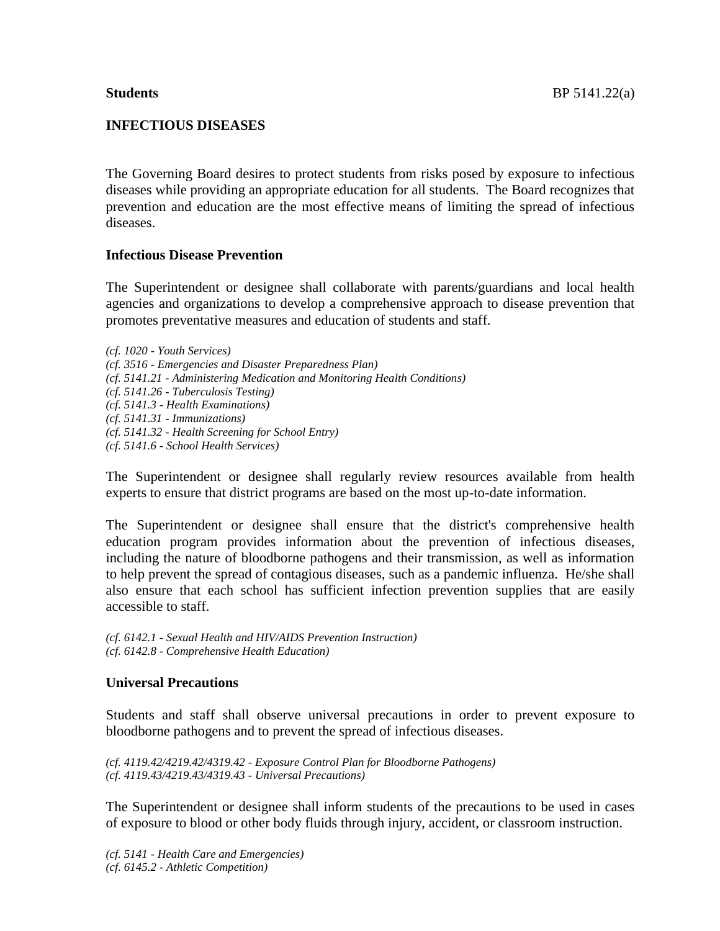# **INFECTIOUS DISEASES**

The Governing Board desires to protect students from risks posed by exposure to infectious diseases while providing an appropriate education for all students. The Board recognizes that prevention and education are the most effective means of limiting the spread of infectious diseases.

## **Infectious Disease Prevention**

The Superintendent or designee shall collaborate with parents/guardians and local health agencies and organizations to develop a comprehensive approach to disease prevention that promotes preventative measures and education of students and staff.

*(cf. 1020 - Youth Services) (cf. 3516 - Emergencies and Disaster Preparedness Plan) (cf. 5141.21 - Administering Medication and Monitoring Health Conditions) (cf. 5141.26 - Tuberculosis Testing) (cf. 5141.3 - Health Examinations) (cf. 5141.31 - Immunizations) (cf. 5141.32 - Health Screening for School Entry) (cf. 5141.6 - School Health Services)*

The Superintendent or designee shall regularly review resources available from health experts to ensure that district programs are based on the most up-to-date information.

The Superintendent or designee shall ensure that the district's comprehensive health education program provides information about the prevention of infectious diseases, including the nature of bloodborne pathogens and their transmission, as well as information to help prevent the spread of contagious diseases, such as a pandemic influenza. He/she shall also ensure that each school has sufficient infection prevention supplies that are easily accessible to staff.

*(cf. 6142.1 - Sexual Health and HIV/AIDS Prevention Instruction) (cf. 6142.8 - Comprehensive Health Education)*

## **Universal Precautions**

Students and staff shall observe universal precautions in order to prevent exposure to bloodborne pathogens and to prevent the spread of infectious diseases.

*(cf. 4119.42/4219.42/4319.42 - Exposure Control Plan for Bloodborne Pathogens) (cf. 4119.43/4219.43/4319.43 - Universal Precautions)*

The Superintendent or designee shall inform students of the precautions to be used in cases of exposure to blood or other body fluids through injury, accident, or classroom instruction.

*(cf. 5141 - Health Care and Emergencies) (cf. 6145.2 - Athletic Competition)*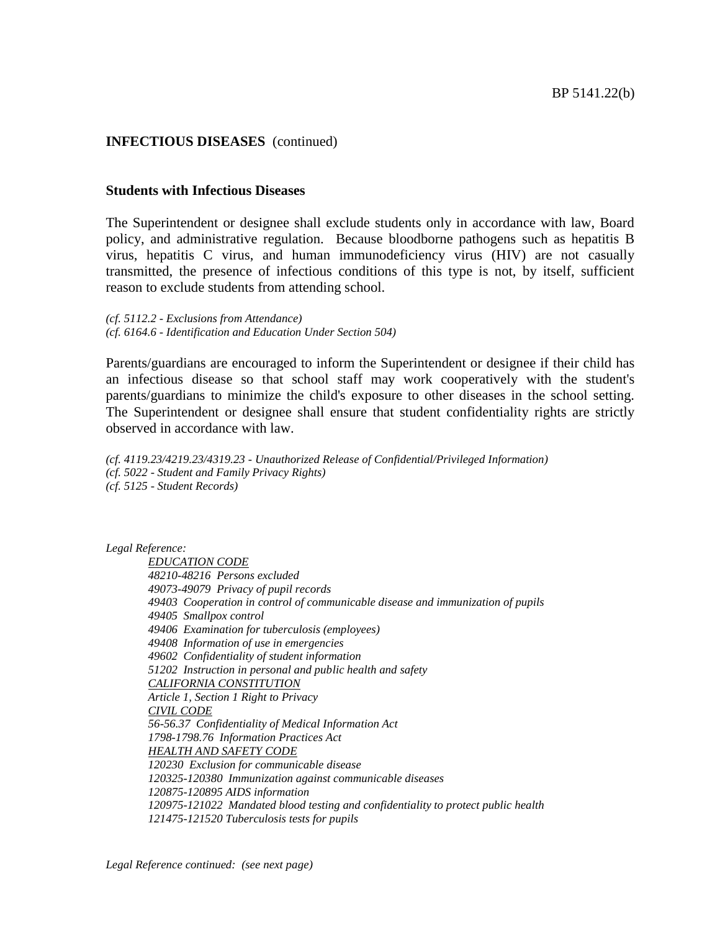# **INFECTIOUS DISEASES** (continued)

### **Students with Infectious Diseases**

The Superintendent or designee shall exclude students only in accordance with law, Board policy, and administrative regulation. Because bloodborne pathogens such as hepatitis B virus, hepatitis C virus, and human immunodeficiency virus (HIV) are not casually transmitted, the presence of infectious conditions of this type is not, by itself, sufficient reason to exclude students from attending school.

*(cf. 5112.2 - Exclusions from Attendance) (cf. 6164.6 - Identification and Education Under Section 504)*

Parents/guardians are encouraged to inform the Superintendent or designee if their child has an infectious disease so that school staff may work cooperatively with the student's parents/guardians to minimize the child's exposure to other diseases in the school setting. The Superintendent or designee shall ensure that student confidentiality rights are strictly observed in accordance with law.

*(cf. 4119.23/4219.23/4319.23 - Unauthorized Release of Confidential/Privileged Information) (cf. 5022 - Student and Family Privacy Rights) (cf. 5125 - Student Records)*

*Legal Reference:*

*EDUCATION CODE 48210-48216 Persons excluded 49073-49079 Privacy of pupil records 49403 Cooperation in control of communicable disease and immunization of pupils 49405 Smallpox control 49406 Examination for tuberculosis (employees) 49408 Information of use in emergencies 49602 Confidentiality of student information 51202 Instruction in personal and public health and safety CALIFORNIA CONSTITUTION Article 1, Section 1 Right to Privacy CIVIL CODE 56-56.37 Confidentiality of Medical Information Act 1798-1798.76 Information Practices Act HEALTH AND SAFETY CODE 120230 Exclusion for communicable disease 120325-120380 Immunization against communicable diseases 120875-120895 AIDS information 120975-121022 Mandated blood testing and confidentiality to protect public health 121475-121520 Tuberculosis tests for pupils*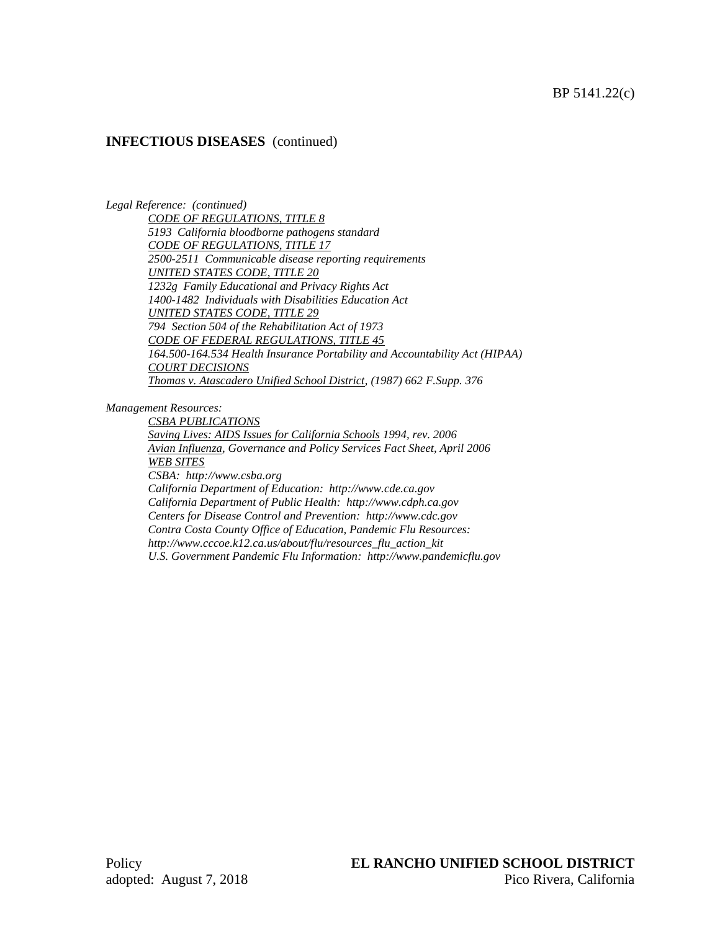# **INFECTIOUS DISEASES** (continued)

*Legal Reference: (continued)*

*CODE OF REGULATIONS, TITLE 8 5193 California bloodborne pathogens standard CODE OF REGULATIONS, TITLE 17 2500-2511 Communicable disease reporting requirements UNITED STATES CODE, TITLE 20 1232g Family Educational and Privacy Rights Act 1400-1482 Individuals with Disabilities Education Act UNITED STATES CODE, TITLE 29 794 Section 504 of the Rehabilitation Act of 1973 CODE OF FEDERAL REGULATIONS, TITLE 45 164.500-164.534 Health Insurance Portability and Accountability Act (HIPAA) COURT DECISIONS Thomas v. Atascadero Unified School District, (1987) 662 F.Supp. 376*

*Management Resources:*

*CSBA PUBLICATIONS Saving Lives: AIDS Issues for California Schools 1994, rev. 2006 Avian Influenza, Governance and Policy Services Fact Sheet, April 2006 WEB SITES CSBA: http://www.csba.org California Department of Education: http://www.cde.ca.gov California Department of Public Health: http://www.cdph.ca.gov Centers for Disease Control and Prevention: http://www.cdc.gov Contra Costa County Office of Education, Pandemic Flu Resources: http://www.cccoe.k12.ca.us/about/flu/resources\_flu\_action\_kit U.S. Government Pandemic Flu Information: http://www.pandemicflu.gov*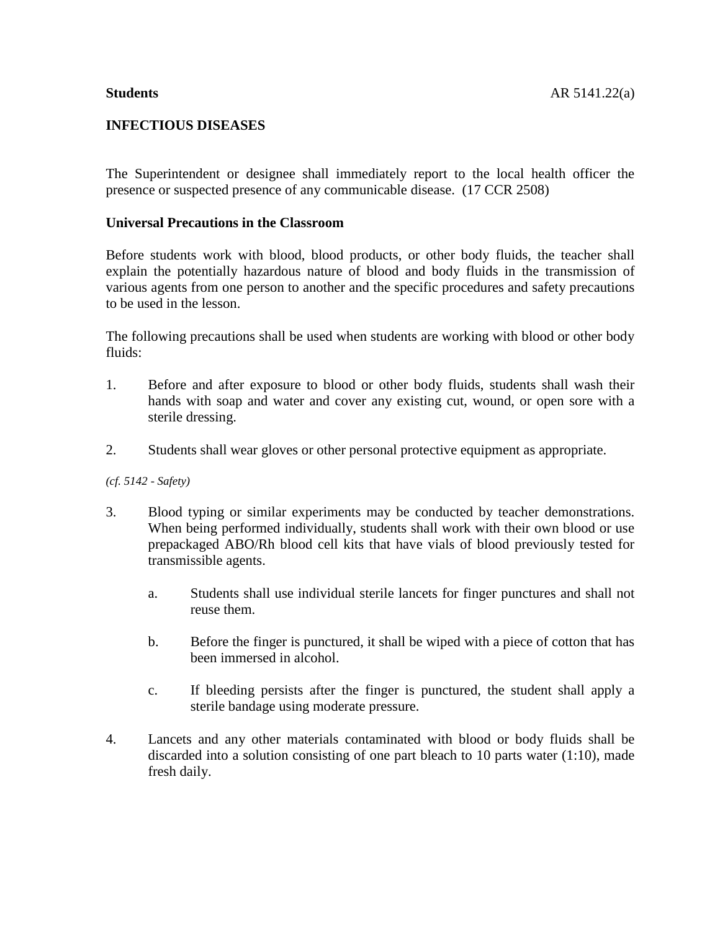# **INFECTIOUS DISEASES**

The Superintendent or designee shall immediately report to the local health officer the presence or suspected presence of any communicable disease. (17 CCR 2508)

## **Universal Precautions in the Classroom**

Before students work with blood, blood products, or other body fluids, the teacher shall explain the potentially hazardous nature of blood and body fluids in the transmission of various agents from one person to another and the specific procedures and safety precautions to be used in the lesson.

The following precautions shall be used when students are working with blood or other body fluids:

- 1. Before and after exposure to blood or other body fluids, students shall wash their hands with soap and water and cover any existing cut, wound, or open sore with a sterile dressing.
- 2. Students shall wear gloves or other personal protective equipment as appropriate.

*(cf. 5142 - Safety)*

- 3. Blood typing or similar experiments may be conducted by teacher demonstrations. When being performed individually, students shall work with their own blood or use prepackaged ABO/Rh blood cell kits that have vials of blood previously tested for transmissible agents.
	- a. Students shall use individual sterile lancets for finger punctures and shall not reuse them.
	- b. Before the finger is punctured, it shall be wiped with a piece of cotton that has been immersed in alcohol.
	- c. If bleeding persists after the finger is punctured, the student shall apply a sterile bandage using moderate pressure.
- 4. Lancets and any other materials contaminated with blood or body fluids shall be discarded into a solution consisting of one part bleach to 10 parts water (1:10), made fresh daily.